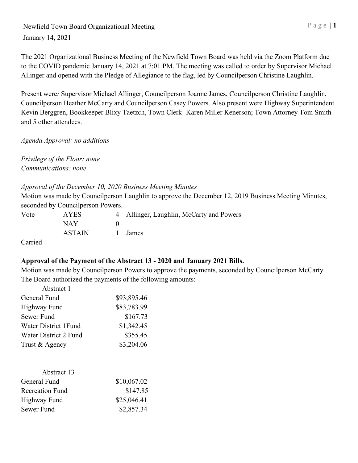The 2021 Organizational Business Meeting of the Newfield Town Board was held via the Zoom Platform due to the COVID pandemic January 14, 2021 at 7:01 PM. The meeting was called to order by Supervisor Michael Allinger and opened with the Pledge of Allegiance to the flag, led by Councilperson Christine Laughlin.

Present were*:* Supervisor Michael Allinger, Councilperson Joanne James, Councilperson Christine Laughlin, Councilperson Heather McCarty and Councilperson Casey Powers. Also present were Highway Superintendent Kevin Berggren, Bookkeeper Blixy Taetzch, Town Clerk- Karen Miller Kenerson; Town Attorney Tom Smith and 5 other attendees.

*Agenda Approval: no additions*

*Privilege of the Floor: none Communications: none*

## *Approval of the December 10, 2020 Business Meeting Minutes*

Motion was made by Councilperson Laughlin to approve the December 12, 2019 Business Meeting Minutes, seconded by Councilperson Powers.

| Vote             | AYES   | 4 Allinger, Laughlin, McCarty and Powers |
|------------------|--------|------------------------------------------|
|                  | NAY.   |                                          |
|                  | ASTAIN | 1 James                                  |
| $\sim$ $\cdot$ 1 |        |                                          |

Carried

# **Approval of the Payment of the Abstract 13 - 2020 and January 2021 Bills.**

Motion was made by Councilperson Powers to approve the payments, seconded by Councilperson McCarty. The Board authorized the payments of the following amounts:

| Abstract 1             |             |
|------------------------|-------------|
| General Fund           | \$93,895.46 |
| Highway Fund           | \$83,783.99 |
| Sewer Fund             | \$167.73    |
| Water District 1 Fund  | \$1,342.45  |
| Water District 2 Fund  | \$355.45    |
| Trust & Agency         | \$3,204.06  |
| Abstract 13            |             |
| General Fund           | \$10,067.02 |
| <b>Recreation Fund</b> | \$147.85    |
| <b>Highway Fund</b>    | \$25,046.41 |

|            | $\tau$ $\tau$ $\tau$ |
|------------|----------------------|
| Sewer Fund | \$2,857.34           |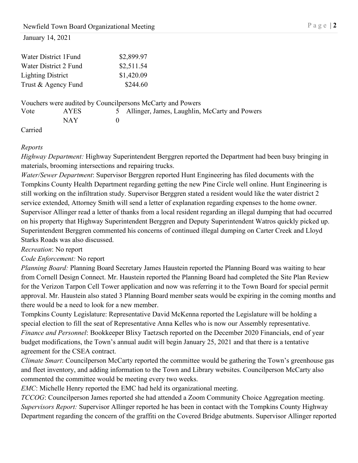|                          | Water District 1 Fund |          | \$2,899.97                                                 |
|--------------------------|-----------------------|----------|------------------------------------------------------------|
|                          | Water District 2 Fund |          | \$2,511.54                                                 |
| <b>Lighting District</b> |                       |          | \$1,420.09                                                 |
|                          | Trust & Agency Fund   |          | \$244.60                                                   |
|                          |                       |          | Vouchers were audited by Councilpersons McCarty and Powers |
| Vote                     | <b>AYES</b>           |          | Allinger, James, Laughlin, McCarty and Powers              |
|                          | <b>NAY</b>            | $\theta$ |                                                            |
|                          |                       |          |                                                            |

Carried

## *Reports*

*Highway Department:* Highway Superintendent Berggren reported the Department had been busy bringing in materials, brooming intersections and repairing trucks.

*Water/Sewer Department*: Supervisor Berggren reported Hunt Engineering has filed documents with the Tompkins County Health Department regarding getting the new Pine Circle well online. Hunt Engineering is still working on the infiltration study. Supervisor Berggren stated a resident would like the water district 2 service extended, Attorney Smith will send a letter of explanation regarding expenses to the home owner. Supervisor Allinger read a letter of thanks from a local resident regarding an illegal dumping that had occurred on his property that Highway Superintendent Berggren and Deputy Superintendent Watros quickly picked up. Superintendent Berggren commented his concerns of continued illegal dumping on Carter Creek and Lloyd Starks Roads was also discussed.

## *Recreation*: No report

## *Code Enforcement:* No report

*Planning Board:* Planning Board Secretary James Haustein reported the Planning Board was waiting to hear from Cornell Design Connect. Mr. Haustein reported the Planning Board had completed the Site Plan Review for the Verizon Tarpon Cell Tower application and now was referring it to the Town Board for special permit approval. Mr. Haustein also stated 3 Planning Board member seats would be expiring in the coming months and there would be a need to look for a new member.

Tompkins County Legislature: Representative David McKenna reported the Legislature will be holding a special election to fill the seat of Representative Anna Kelles who is now our Assembly representative. *Finance and Personnel*: Bookkeeper Blixy Taetzsch reported on the December 2020 Financials, end of year budget modifications, the Town's annual audit will begin January 25, 2021 and that there is a tentative agreement for the CSEA contract.

*Climate Smart*: Councilperson McCarty reported the committee would be gathering the Town's greenhouse gas and fleet inventory, and adding information to the Town and Library websites. Councilperson McCarty also commented the committee would be meeting every two weeks.

*EMC*: Michelle Henry reported the EMC had held its organizational meeting.

*TCCOG*: Councilperson James reported she had attended a Zoom Community Choice Aggregation meeting. *Supervisors Report:* Supervisor Allinger reported he has been in contact with the Tompkins County Highway Department regarding the concern of the graffiti on the Covered Bridge abutments. Supervisor Allinger reported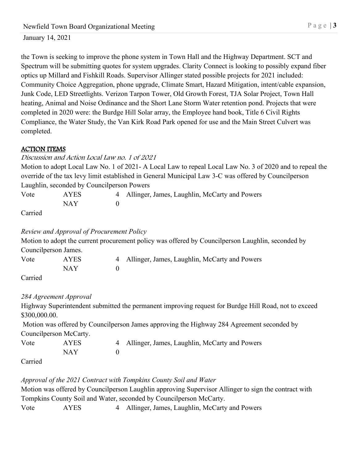the Town is seeking to improve the phone system in Town Hall and the Highway Department. SCT and Spectrum will be submitting quotes for system upgrades. Clarity Connect is looking to possibly expand fiber optics up Millard and Fishkill Roads. Supervisor Allinger stated possible projects for 2021 included: Community Choice Aggregation, phone upgrade, Climate Smart, Hazard Mitigation, intent/cable expansion, Junk Code, LED Streetlights. Verizon Tarpon Tower, Old Growth Forest, TJA Solar Project, Town Hall heating, Animal and Noise Ordinance and the Short Lane Storm Water retention pond. Projects that were completed in 2020 were: the Burdge Hill Solar array, the Employee hand book, Title 6 Civil Rights Compliance, the Water Study, the Van Kirk Road Park opened for use and the Main Street Culvert was completed.

## ACTION ITEMS

## Discussion and Action Local Law no. 1 of 2021

Motion to adopt Local Law No. 1 of 2021- A Local Law to repeal Local Law No. 3 of 2020 and to repeal the override of the tax levy limit established in General Municipal Law 3-C was offered by Councilperson Laughlin, seconded by Councilperson Powers

| Vote          | AYES | 4 Allinger, James, Laughlin, McCarty and Powers |
|---------------|------|-------------------------------------------------|
|               | NAY  |                                                 |
| $\sim$ $\sim$ |      |                                                 |

Carried

## *Review and Approval of Procurement Policy*

Motion to adopt the current procurement policy was offered by Councilperson Laughlin, seconded by Councilperson James.

| Vote | AYES | 4 Allinger, James, Laughlin, McCarty and Powers |
|------|------|-------------------------------------------------|
|      | NAY  |                                                 |
|      |      |                                                 |

Carried

## *284 Agreement Approval*

Highway Superintendent submitted the permanent improving request for Burdge Hill Road, not to exceed \$300,000.00.

Motion was offered by Councilperson James approving the Highway 284 Agreement seconded by Councilperson McCarty.

| Vote                        | <b>AYES</b> | 4 Allinger, James, Laughlin, McCarty and Powers |
|-----------------------------|-------------|-------------------------------------------------|
|                             | NAY         |                                                 |
| $\sim$ $\sim$ $\sim$ $\sim$ |             |                                                 |

Carried

## *Approval of the 2021 Contract with Tompkins County Soil and Water*

Motion was offered by Councilperson Laughlin approving Supervisor Allinger to sign the contract with Tompkins County Soil and Water, seconded by Councilperson McCarty.

Vote AYES 4 Allinger, James, Laughlin, McCarty and Powers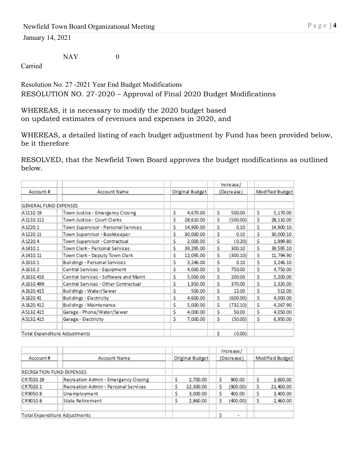NAY 0

Carried

Resolution No. 27 -2021 Year End Budget Modifications RESOLUTION NO. 27-2020 – Approval of Final 2020 Budget Modifications

WHEREAS, it is necessary to modify the 2020 budget based on updated estimates of revenues and expenses in 2020, and

WHEREAS, a detailed listing of each budget adjustment by Fund has been provided below, be it therefore

RESOLVED, that the Newfield Town Board approves the budget modifications as outlined below.

|                               |                                       |                 |    | Increase/  |    |                 |
|-------------------------------|---------------------------------------|-----------------|----|------------|----|-----------------|
| Account#                      | Account Name                          | Original Budget |    | (Decrease) |    | Modified Budget |
|                               |                                       |                 |    |            |    |                 |
| <b>GENERAL FUND EXPENSES</b>  |                                       |                 |    |            |    |                 |
| A1110.19                      | Town Justice - Emergency Closing      | Ś.<br>4,670.00  | Ś. | 500.00     | Ś. | 5,170.00        |
| A 1110.112                    | Town Justice - Court Clerks           | \$<br>28,610.00 | Ś  | (500.00)   | \$ | 28,110.00       |
| A1220.1                       | Town Supervisor - Personal Services   | Ś.<br>14,900.00 | Ś. | 0.10       | Ŝ. | 14,900.10       |
| A 1220.11                     | Town Supervisor - Bookkeeper          | Ś<br>30,000.00  | Ś  | 0.10       | Ŝ. | 30,000.10       |
| A 1220.4                      | Town Supervisor - Contractual         | Ś<br>2,000.00   | \$ | (0.20)     | Ś. | 1,999.80        |
| A1410.1                       | Town Clerk - Personal Services        | Ś.<br>39,295.00 | Ś. | 300.10     | \$ | 39,595.10       |
| A 1410.11                     | Town Clerk - Deputy Town Clerk        | \$<br>12.095.00 | Ś  | (300.10)   | Ŝ. | 11,794.90       |
| A1610.1                       | Buildings - Personal Services         | Ś<br>3.246.00   | Ś  | 0.10       | Ś. | 3,246.10        |
| A1610.2                       | Central Services - Equipment          | \$<br>4,000.00  | \$ | 750.00     | \$ | 4,750.00        |
| A 1610.416                    | Central Services - Software and Maint | Ś<br>5.000.00   | Ś. | 200.00     | Ś. | 5,200.00        |
| A 1610.499                    | Central Services - Other Contractual  | \$<br>1,950.00  | Ś. | 370.00     | Ś. | 2,320.00        |
| A 1620.415                    | Buildings - Water/Sewer               | Ś<br>500.00     | Ś. | 12.00      | Ŝ. | 512.00          |
| A 1620.41                     | Buildings - Electricity               | \$<br>4,600.00  | Ś. | (600.00)   | \$ | 4,000.00        |
| A 1620.412                    | Buildings - Maintenance               | Ś<br>5,000.00   | Ś. | (732.10)   | \$ | 4,267.90        |
| A5132.415                     | Garage - Phone/Water/Sewer            | Ś<br>4,000.00   | Ś  | 50.00      | Ś  | 4,050.00        |
| A5132.415                     | Garage - Electricity                  | Ś.<br>7,000.00  | Ś. | (50.00)    | Ś. | 6,950.00        |
|                               |                                       |                 |    |            |    |                 |
| Total Expenditure Adjustments |                                       |                 | Ś. | (0.00)     |    |                 |

|                               |                                      |   |                 |   | Increase/                |   |                 |
|-------------------------------|--------------------------------------|---|-----------------|---|--------------------------|---|-----------------|
| Account#                      | Account Name                         |   | Original Budget |   | (Decrease)               |   | Modified Budget |
|                               |                                      |   |                 |   |                          |   |                 |
| RECREATION FUND EXPENSES      |                                      |   |                 |   |                          |   |                 |
| CR7020.19                     | Recreation Admin - Emergency Closing |   | 2,700.00        | Ś | 900.00                   | s | 3,600.00        |
| CR7020.1                      | Recreation Admin - Personal Services | Ŝ | 22,300.00       | Ś | (900.00)                 | Ŝ | 21,400.00       |
| CR9050.8                      | Unemployment                         | Ŝ | 3,000.00        | Ŝ | 400.00                   | S | 3,400.00        |
| CR9010.8                      | State Retirement                     | Ś | 2,860.00        | Ś | (400.00)                 | Ŝ | 2.460.00        |
|                               |                                      |   |                 |   |                          |   |                 |
| Total Expenditure Adjustments |                                      |   |                 |   | $\overline{\phantom{a}}$ |   |                 |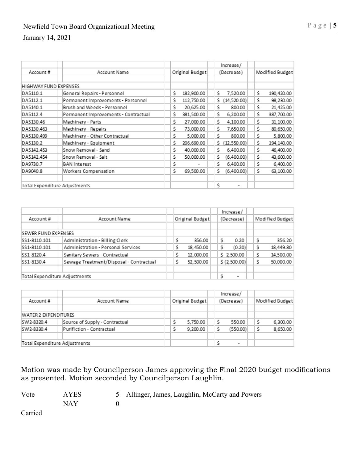|                               |                                      |                  | Increase/          |                  |
|-------------------------------|--------------------------------------|------------------|--------------------|------------------|
| Account#                      | Account Name                         | Original Budget  | (Decrease)         | Modified Budget  |
|                               |                                      |                  |                    |                  |
| HIGHWAY FUND EXPENSES         |                                      |                  |                    |                  |
| DA5110.1                      | General Repairs - Personnel          | 182,900.00<br>Ś. | Ŝ.<br>7,520.00     | Ś.<br>190,420.00 |
| DA5112.1                      | Permanent Improvements - Personnel   | Ś.<br>112,750.00 | (14,520.00)<br>Ś.  | Ś.<br>98,230.00  |
| DA5140.1                      | Brush and Weeds - Personnel          | Ś.<br>20,625.00  | Ŝ.<br>800.00       | Ś.<br>21,425.00  |
| DA5112.4                      | Permanent Improvements - Contractual | Ś.<br>381,500.00 | Ŝ.<br>6,200.00     | Ś.<br>387,700.00 |
| DA5130.46                     | Machinery - Parts                    | Ś.<br>27,000.00  | Ś.<br>4,100.00     | Ś.<br>31,100.00  |
| DA5130.463                    | Machinery - Repairs                  | Ś.<br>73,000.00  | Ś.<br>7,650.00     | Ś.<br>80,650.00  |
| DA5130.499                    | Machinery - Other Contractual        | Ś.<br>5.000.00   | Ś.<br>800.00       | Ś.<br>5,800.00   |
| DA5130.2                      | Machinery - Equipment                | Ś.<br>206,690.00 | Ś.<br>(12, 550.00) | Ś.<br>194,140.00 |
| DA5142.453                    | Snow Removal - Sand                  | Ś.<br>40,000.00  | Ś.<br>6,400.00     | Ś.<br>46,400.00  |
| DA5142.454                    | Snow Removal - Salt                  | Ś<br>50,000.00   | Ś.<br>(6,400.00)   | Ś.<br>43,600.00  |
| DA9730.7                      | BAN Interest                         | \$               | Ś.<br>6,400.00     | Ś.<br>6,400.00   |
| DA9040.8                      | Workers Compensation                 | Ś.<br>69,500.00  | Ś.<br>(6,400.00)   | Ś.<br>63,100.00  |
|                               |                                      |                  |                    |                  |
| Total Expenditure Adjustments |                                      |                  | \$                 |                  |

|                               |                                         |                 | Increase/    |   |                 |
|-------------------------------|-----------------------------------------|-----------------|--------------|---|-----------------|
| Account#                      | Account Name                            | Original Budget | (Decrease)   |   | Modified Budget |
|                               |                                         |                 |              |   |                 |
| SEWER FUND EXPENSES           |                                         |                 |              |   |                 |
| SS1-8110.101                  | Administration - Billing Clerk          | 356.00          | 0.20         | Ŝ | 356.20          |
| SS1-8110.101                  | Administration - Personal Services      | 18,450.00       | (0.20)       | Ŝ | 18,449.80       |
| SS1-8120.4                    | Sanitary Sewers - Contractual           | 12,000.00       | \$2.500.00   |   | 14.500.00       |
| SS1-8130.4                    | Sewage Treatment/Disposal - Contractual | 52.500.00       | \$(2,500.00) |   | 50,000.00       |
|                               |                                         |                 |              |   |                 |
| Total Expenditure Adjustments |                                         |                 | ۰            |   |                 |

|                               |                                |  |                 |  | Increase/                |  |  |                 |
|-------------------------------|--------------------------------|--|-----------------|--|--------------------------|--|--|-----------------|
| Account#                      | Account Name                   |  | Original Budget |  | (Decrease)               |  |  | Modified Budget |
|                               |                                |  |                 |  |                          |  |  |                 |
| WATER 2 EXPENDITURES          |                                |  |                 |  |                          |  |  |                 |
| SW2-8320.4                    | Source of Supply - Contractual |  | 5,750.00        |  | 550.00                   |  |  | 6,300.00        |
| SW2-8330.4                    | Purifiction - Contractual      |  | 9,200.00        |  | (550.00)                 |  |  | 8,650.00        |
|                               |                                |  |                 |  |                          |  |  |                 |
| Total Expenditure Adjustments |                                |  |                 |  | $\overline{\phantom{a}}$ |  |  |                 |

Motion was made by Councilperson James approving the Final 2020 budget modifications as presented. Motion seconded by Councilperson Laughlin.

| Vote | <b>AYES</b> | 5 Allinger, James, Laughlin, McCarty and Powers |
|------|-------------|-------------------------------------------------|
|      | NAY         |                                                 |

Carried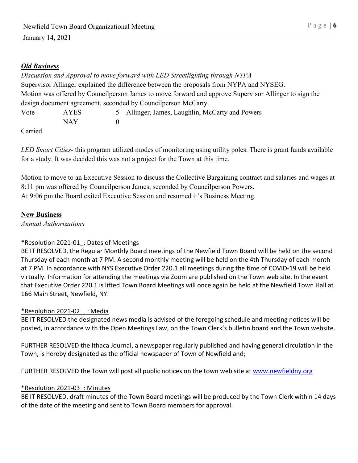## *Old Business*

|      |             | Discussion and Approval to move forward with LED Streetlighting through NYPA                          |
|------|-------------|-------------------------------------------------------------------------------------------------------|
|      |             | Supervisor Allinger explained the difference between the proposals from NYPA and NYSEG.               |
|      |             | Motion was offered by Councilperson James to move forward and approve Supervisor Allinger to sign the |
|      |             | design document agreement, seconded by Councilperson McCarty.                                         |
| Vote | <b>AYES</b> | 5 Allinger, James, Laughlin, McCarty and Powers                                                       |
|      | NAY         |                                                                                                       |

Carried

*LED Smart Cities*- this program utilized modes of monitoring using utility poles. There is grant funds available for a study. It was decided this was not a project for the Town at this time.

Motion to move to an Executive Session to discuss the Collective Bargaining contract and salaries and wages at 8:11 pm was offered by Councilperson James, seconded by Councilperson Powers. At 9:06 pm the Board exited Executive Session and resumed it's Business Meeting.

### **New Business**

*Annual Authorizations*

## \*Resolution 2021-01\_: Dates of Meetings

BE IT RESOLVED, the Regular Monthly Board meetings of the Newfield Town Board will be held on the second Thursday of each month at 7 PM. A second monthly meeting will be held on the 4th Thursday of each month at 7 PM. In accordance with NYS Executive Order 220.1 all meetings during the time of COVID-19 will be held virtually. Information for attending the meetings via Zoom are published on the Town web site. In the event that Executive Order 220.1 is lifted Town Board Meetings will once again be held at the Newfield Town Hall at 166 Main Street, Newfield, NY.

## \*Resolution 2021-02\_\_: Media

BE IT RESOLVED the designated news media is advised of the foregoing schedule and meeting notices will be posted, in accordance with the Open Meetings Law, on the Town Clerk's bulletin board and the Town website.

FURTHER RESOLVED the Ithaca Journal, a newspaper regularly published and having general circulation in the Town, is hereby designated as the official newspaper of Town of Newfield and;

FURTHER RESOLVED the Town will post all public notices on the town web site a[t www.newfieldny.org](http://www.newfieldny.org/)

## \*Resolution 2021-03\_: Minutes

BE IT RESOLVED, draft minutes of the Town Board meetings will be produced by the Town Clerk within 14 days of the date of the meeting and sent to Town Board members for approval.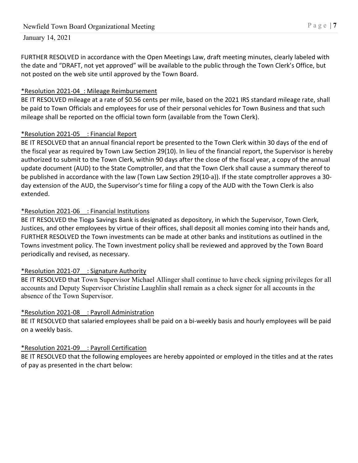FURTHER RESOLVED in accordance with the Open Meetings Law, draft meeting minutes, clearly labeled with the date and "DRAFT, not yet approved" will be available to the public through the Town Clerk's Office, but not posted on the web site until approved by the Town Board.

## \*Resolution 2021-04\_: Mileage Reimbursement

BE IT RESOLVED mileage at a rate of \$0.56 cents per mile, based on the 2021 IRS standard mileage rate, shall be paid to Town Officials and employees for use of their personal vehicles for Town Business and that such mileage shall be reported on the official town form (available from the Town Clerk).

## \*Resolution 2021-05\_\_: Financial Report

BE IT RESOLVED that an annual financial report be presented to the Town Clerk within 30 days of the end of the fiscal year as required by Town Law Section 29(10). In lieu of the financial report, the Supervisor is hereby authorized to submit to the Town Clerk, within 90 days after the close of the fiscal year, a copy of the annual update document (AUD) to the State Comptroller, and that the Town Clerk shall cause a summary thereof to be published in accordance with the law (Town Law Section 29(10-a)). If the state comptroller approves a 30 day extension of the AUD, the Supervisor's time for filing a copy of the AUD with the Town Clerk is also extended.

## \*Resolution 2021-06\_\_: Financial Institutions

BE IT RESOLVED the Tioga Savings Bank is designated as depository, in which the Supervisor, Town Clerk, Justices, and other employees by virtue of their offices, shall deposit all monies coming into their hands and, FURTHER RESOLVED the Town investments can be made at other banks and institutions as outlined in the Towns investment policy. The Town investment policy shall be reviewed and approved by the Town Board periodically and revised, as necessary.

# \*Resolution 2021-07\_\_: Signature Authority

BE IT RESOLVED that Town Supervisor Michael Allinger shall continue to have check signing privileges for all accounts and Deputy Supervisor Christine Laughlin shall remain as a check signer for all accounts in the absence of the Town Supervisor.

## \*Resolution 2021-08\_\_: Payroll Administration

BE IT RESOLVED that salaried employees shall be paid on a bi-weekly basis and hourly employees will be paid on a weekly basis.

# \*Resolution 2021-09\_\_: Payroll Certification

BE IT RESOLVED that the following employees are hereby appointed or employed in the titles and at the rates of pay as presented in the chart below: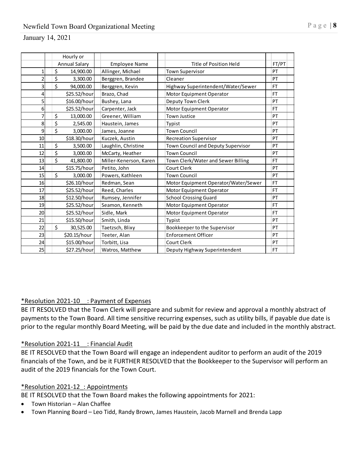|                         |                      | Hourly or    |                        |                                      |           |
|-------------------------|----------------------|--------------|------------------------|--------------------------------------|-----------|
|                         | <b>Annual Salary</b> |              | <b>Employee Name</b>   | Title of Position Held               | FT/PT     |
| 1                       | \$                   | 14,900.00    | Allinger, Michael      | <b>Town Supervisor</b>               | PT        |
| $\overline{\mathbf{c}}$ | \$                   | 3,300.00     | Berggren, Brandee      | Cleaner                              | PT        |
| 3                       | \$                   | 94,000.00    | Berggren, Kevin        | Highway Superintendent/Water/Sewer   | <b>FT</b> |
| 4                       |                      | \$25.52/hour | Brazo, Chad            | Motor Equipment Operator             | <b>FT</b> |
| 5                       |                      | \$16.00/hour | Bushey, Lana           | Deputy Town Clerk                    | PT        |
| 6                       |                      | \$25.52/hour | Carpenter, Jack        | Motor Equipment Operator             | <b>FT</b> |
| 7                       | \$                   | 13,000.00    | Greener, William       | <b>Town Justice</b>                  | PT        |
| 8                       | \$                   | 2,545.00     | Haustein, James        | Typist                               | PT        |
| 9                       | \$                   | 3,000.00     | James, Joanne          | <b>Town Council</b>                  | PT        |
| 10                      |                      | \$18.30/hour | Kuczek, Austin         | <b>Recreation Supervisor</b>         | PT        |
| 11                      | \$                   | 3,500.00     | Laughlin, Christine    | Town Council and Deputy Supervisor   | PT        |
| 12                      | \$                   | 3,000.00     | McCarty, Heather       | <b>Town Council</b>                  | PT        |
| 13                      | \$                   | 41,800.00    | Miller-Kenerson, Karen | Town Clerk/Water and Sewer Billing   | <b>FT</b> |
| 14                      |                      | \$15.75/hour | Petito, John           | Court Clerk                          | PT        |
| 15                      | \$                   | 3,000.00     | Powers, Kathleen       | <b>Town Council</b>                  | PT        |
| 16                      |                      | \$26.10/hour | Redman, Sean           | Motor Equipment Operator/Water/Sewer | <b>FT</b> |
| 17                      |                      | \$25.52/hour | Reed, Charles          | Motor Equipment Operator             | <b>FT</b> |
| 18                      |                      | \$12.50/hour | Rumsey, Jennifer       | <b>School Crossing Guard</b>         | PT        |
| 19                      |                      | \$25.52/hour | Seamon, Kenneth        | Motor Equipment Operator             | <b>FT</b> |
| 20                      |                      | \$25.52/hour | Sidle, Mark            | Motor Equipment Operator             | <b>FT</b> |
| 21                      |                      | \$15.50/hour | Smith, Linda           | Typist                               | PT        |
| 22                      | \$                   | 30,525.00    | Taetzsch, Blixy        | Bookkeeper to the Supervisor         | PT        |
| 23                      |                      | \$20.15/hour | Teeter, Alan           | <b>Enforcement Officer</b>           | PT        |
| 24                      |                      | \$15.00/hour | Torbitt, Lisa          | Court Clerk                          | PT        |
| 25                      |                      | \$27.25/hour | Watros, Matthew        | Deputy Highway Superintendent        | FT.       |

### \*Resolution 2021-10\_\_: Payment of Expenses

BE IT RESOLVED that the Town Clerk will prepare and submit for review and approval a monthly abstract of payments to the Town Board. All time sensitive recurring expenses, such as utility bills, if payable due date is prior to the regular monthly Board Meeting, will be paid by the due date and included in the monthly abstract.

### \*Resolution 2021-11\_\_: Financial Audit

BE IT RESOLVED that the Town Board will engage an independent auditor to perform an audit of the 2019 financials of the Town, and be it FURTHER RESOLVED that the Bookkeeper to the Supervisor will perform an audit of the 2019 financials for the Town Court.

### \*Resolution 2021-12\_: Appointments

BE IT RESOLVED that the Town Board makes the following appointments for 2021:

- Town Historian Alan Chaffee
- Town Planning Board Leo Tidd, Randy Brown, James Haustein, Jacob Marnell and Brenda Lapp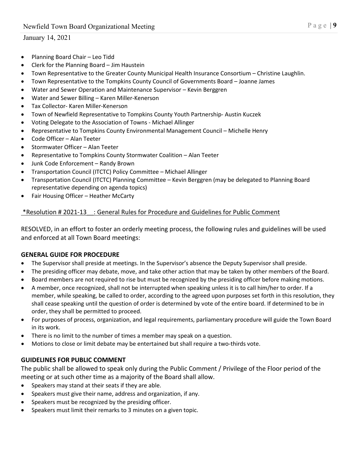- Planning Board Chair Leo Tidd
- Clerk for the Planning Board Jim Haustein
- Town Representative to the Greater County Municipal Health Insurance Consortium Christine Laughlin.
- Town Representative to the Tompkins County Council of Governments Board Joanne James
- Water and Sewer Operation and Maintenance Supervisor Kevin Berggren
- Water and Sewer Billing Karen Miller-Kenerson
- Tax Collector- Karen Miller-Kenerson
- Town of Newfield Representative to Tompkins County Youth Partnership- Austin Kuczek
- Voting Delegate to the Association of Towns Michael Allinger
- Representative to Tompkins County Environmental Management Council Michelle Henry
- Code Officer Alan Teeter
- Stormwater Officer Alan Teeter
- Representative to Tompkins County Stormwater Coalition Alan Teeter
- Junk Code Enforcement Randy Brown
- Transportation Council (ITCTC) Policy Committee Michael Allinger
- Transportation Council (ITCTC) Planning Committee Kevin Berggren (may be delegated to Planning Board representative depending on agenda topics)
- Fair Housing Officer Heather McCarty

## \*Resolution # 2021-13\_\_: General Rules for Procedure and Guidelines for Public Comment

RESOLVED, in an effort to foster an orderly meeting process, the following rules and guidelines will be used and enforced at all Town Board meetings:

## **GENERAL GUIDE FOR PROCEDURE**

- The Supervisor shall preside at meetings. In the Supervisor's absence the Deputy Supervisor shall preside.
- The presiding officer may debate, move, and take other action that may be taken by other members of the Board.
- Board members are not required to rise but must be recognized by the presiding officer before making motions.
- A member, once recognized, shall not be interrupted when speaking unless it is to call him/her to order. If a member, while speaking, be called to order, according to the agreed upon purposes set forth in this resolution, they shall cease speaking until the question of order is determined by vote of the entire board. If determined to be in order, they shall be permitted to proceed.
- For purposes of process, organization, and legal requirements, parliamentary procedure will guide the Town Board in its work.
- There is no limit to the number of times a member may speak on a question.
- Motions to close or limit debate may be entertained but shall require a two-thirds vote.

## **GUIDELINES FOR PUBLIC COMMENT**

The public shall be allowed to speak only during the Public Comment / Privilege of the Floor period of the meeting or at such other time as a majority of the Board shall allow.

- Speakers may stand at their seats if they are able.
- Speakers must give their name, address and organization, if any.
- Speakers must be recognized by the presiding officer.
- Speakers must limit their remarks to 3 minutes on a given topic.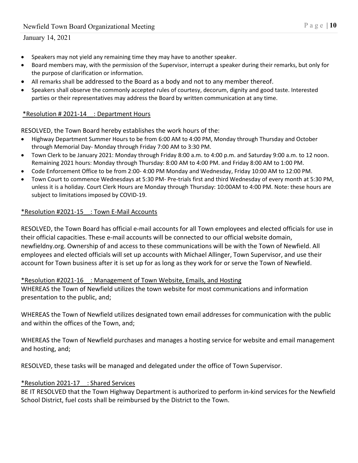- Speakers may not yield any remaining time they may have to another speaker.
- Board members may, with the permission of the Supervisor, interrupt a speaker during their remarks, but only for the purpose of clarification or information.
- All remarks shall be addressed to the Board as a body and not to any member thereof.
- Speakers shall observe the commonly accepted rules of courtesy, decorum, dignity and good taste. Interested parties or their representatives may address the Board by written communication at any time.

#### \*Resolution # 2021-14\_\_: Department Hours

RESOLVED, the Town Board hereby establishes the work hours of the:

- Highway Department Summer Hours to be from 6:00 AM to 4:00 PM, Monday through Thursday and October through Memorial Day- Monday through Friday 7:00 AM to 3:30 PM.
- Town Clerk to be January 2021: Monday through Friday 8:00 a.m. to 4:00 p.m. and Saturday 9:00 a.m. to 12 noon. Remaining 2021 hours: Monday through Thursday: 8:00 AM to 4:00 PM. and Friday 8:00 AM to 1:00 PM.
- Code Enforcement Office to be from 2:00- 4:00 PM Monday and Wednesday, Friday 10:00 AM to 12:00 PM.
- Town Court to commence Wednesdays at 5:30 PM- Pre-trials first and third Wednesday of every month at 5:30 PM, unless it is a holiday. Court Clerk Hours are Monday through Thursday: 10:00AM to 4:00 PM. Note: these hours are subject to limitations imposed by COVID-19.

#### \*Resolution #2021-15\_\_: Town E-Mail Accounts

RESOLVED, the Town Board has official e-mail accounts for all Town employees and elected officials for use in their official capacities. These e-mail accounts will be connected to our official website domain, newfieldny.org. Ownership of and access to these communications will be with the Town of Newfield. All employees and elected officials will set up accounts with Michael Allinger, Town Supervisor, and use their account for Town business after it is set up for as long as they work for or serve the Town of Newfield.

#### \*Resolution #2021-16\_\_: Management of Town Website, Emails, and Hosting

WHEREAS the Town of Newfield utilizes the town website for most communications and information presentation to the public, and;

WHEREAS the Town of Newfield utilizes designated town email addresses for communication with the public and within the offices of the Town, and;

WHEREAS the Town of Newfield purchases and manages a hosting service for website and email management and hosting, and;

RESOLVED, these tasks will be managed and delegated under the office of Town Supervisor.

#### \*Resolution 2021-17\_\_: Shared Services

BE IT RESOLVED that the Town Highway Department is authorized to perform in-kind services for the Newfield School District, fuel costs shall be reimbursed by the District to the Town.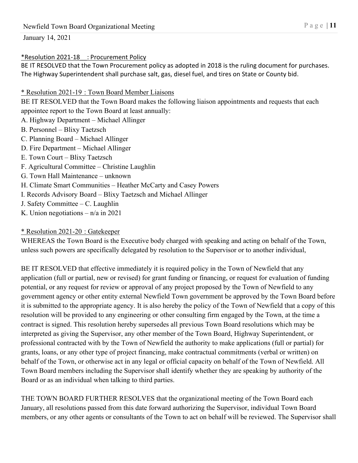### \*Resolution 2021-18\_\_: Procurement Policy

BE IT RESOLVED that the Town Procurement policy as adopted in 2018 is the ruling document for purchases. The Highway Superintendent shall purchase salt, gas, diesel fuel, and tires on State or County bid.

\* Resolution 2021-19 : Town Board Member Liaisons

BE IT RESOLVED that the Town Board makes the following liaison appointments and requests that each appointee report to the Town Board at least annually:

A. Highway Department – Michael Allinger

- B. Personnel Blixy Taetzsch
- C. Planning Board Michael Allinger
- D. Fire Department Michael Allinger
- E. Town Court Blixy Taetzsch
- F. Agricultural Committee Christine Laughlin
- G. Town Hall Maintenance unknown
- H. Climate Smart Communities Heather McCarty and Casey Powers
- I. Records Advisory Board Blixy Taetzsch and Michael Allinger
- J. Safety Committee C. Laughlin
- K. Union negotiations  $n/a$  in 2021

# \* Resolution 2021-20 : Gatekeeper

WHEREAS the Town Board is the Executive body charged with speaking and acting on behalf of the Town, unless such powers are specifically delegated by resolution to the Supervisor or to another individual,

BE IT RESOLVED that effective immediately it is required policy in the Town of Newfield that any application (full or partial, new or revised) for grant funding or financing, or request for evaluation of funding potential, or any request for review or approval of any project proposed by the Town of Newfield to any government agency or other entity external Newfield Town government be approved by the Town Board before it is submitted to the appropriate agency. It is also hereby the policy of the Town of Newfield that a copy of this resolution will be provided to any engineering or other consulting firm engaged by the Town, at the time a contract is signed. This resolution hereby supersedes all previous Town Board resolutions which may be interpreted as giving the Supervisor, any other member of the Town Board, Highway Superintendent, or professional contracted with by the Town of Newfield the authority to make applications (full or partial) for grants, loans, or any other type of project financing, make contractual commitments (verbal or written) on behalf of the Town, or otherwise act in any legal or official capacity on behalf of the Town of Newfield. All Town Board members including the Supervisor shall identify whether they are speaking by authority of the Board or as an individual when talking to third parties.

THE TOWN BOARD FURTHER RESOLVES that the organizational meeting of the Town Board each January, all resolutions passed from this date forward authorizing the Supervisor, individual Town Board members, or any other agents or consultants of the Town to act on behalf will be reviewed. The Supervisor shall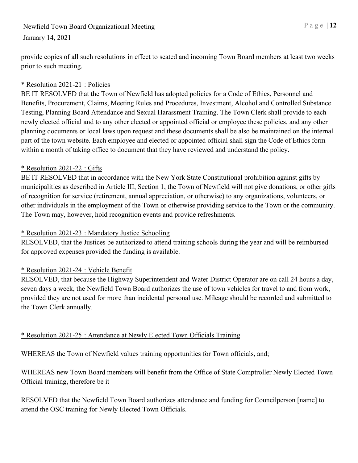provide copies of all such resolutions in effect to seated and incoming Town Board members at least two weeks prior to such meeting.

# \* Resolution 2021-21 : Policies

BE IT RESOLVED that the Town of Newfield has adopted policies for a Code of Ethics, Personnel and Benefits, Procurement, Claims, Meeting Rules and Procedures, Investment, Alcohol and Controlled Substance Testing, Planning Board Attendance and Sexual Harassment Training. The Town Clerk shall provide to each newly elected official and to any other elected or appointed official or employee these policies, and any other planning documents or local laws upon request and these documents shall be also be maintained on the internal part of the town website. Each employee and elected or appointed official shall sign the Code of Ethics form within a month of taking office to document that they have reviewed and understand the policy.

## \* Resolution 2021-22 : Gifts

BE IT RESOLVED that in accordance with the New York State Constitutional prohibition against gifts by municipalities as described in Article III, Section 1, the Town of Newfield will not give donations, or other gifts of recognition for service (retirement, annual appreciation, or otherwise) to any organizations, volunteers, or other individuals in the employment of the Town or otherwise providing service to the Town or the community. The Town may, however, hold recognition events and provide refreshments.

# \* Resolution 2021-23 : Mandatory Justice Schooling

RESOLVED, that the Justices be authorized to attend training schools during the year and will be reimbursed for approved expenses provided the funding is available.

# \* Resolution 2021-24 : Vehicle Benefit

RESOLVED, that because the Highway Superintendent and Water District Operator are on call 24 hours a day, seven days a week, the Newfield Town Board authorizes the use of town vehicles for travel to and from work, provided they are not used for more than incidental personal use. Mileage should be recorded and submitted to the Town Clerk annually.

# \* Resolution 2021-25 : Attendance at Newly Elected Town Officials Training

WHEREAS the Town of Newfield values training opportunities for Town officials, and;

WHEREAS new Town Board members will benefit from the Office of State Comptroller Newly Elected Town Official training, therefore be it

RESOLVED that the Newfield Town Board authorizes attendance and funding for Councilperson [name] to attend the OSC training for Newly Elected Town Officials.